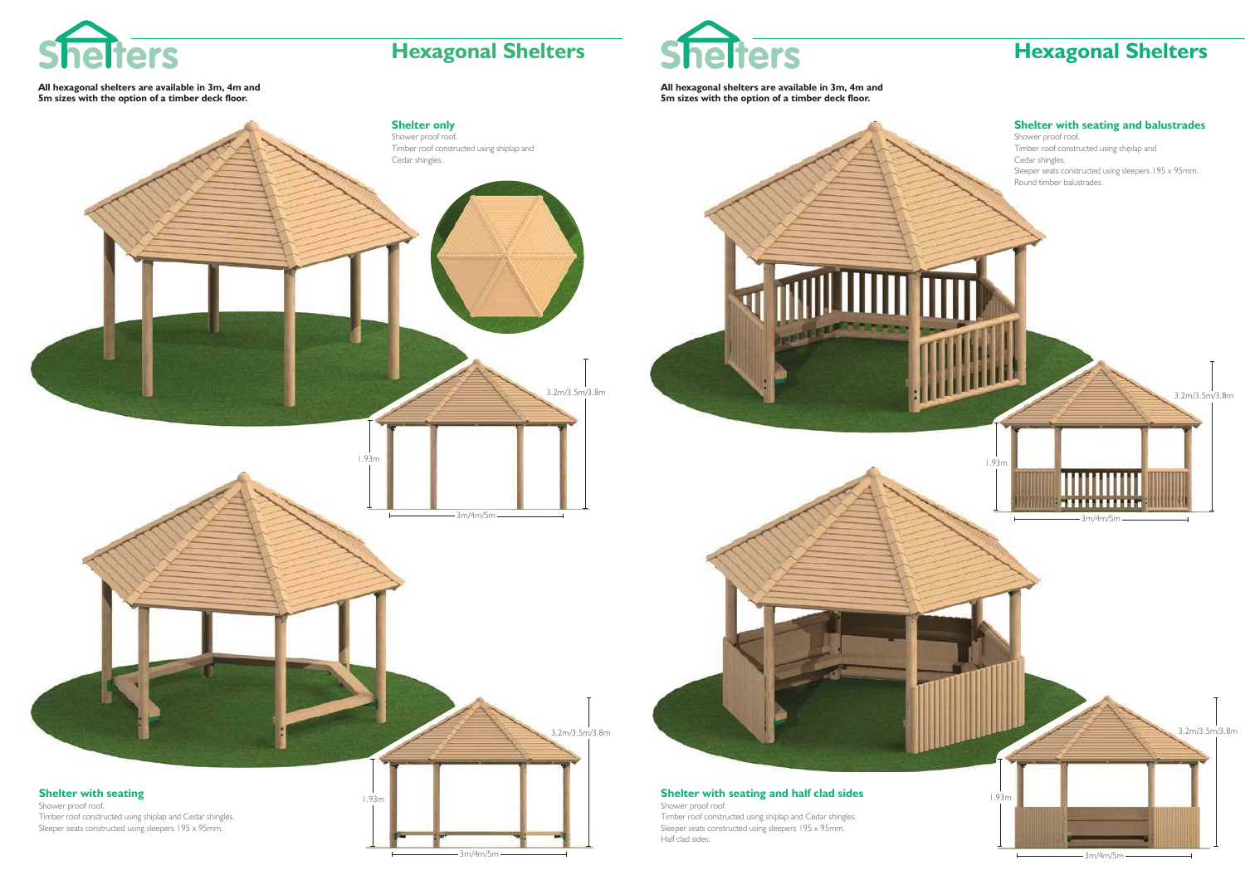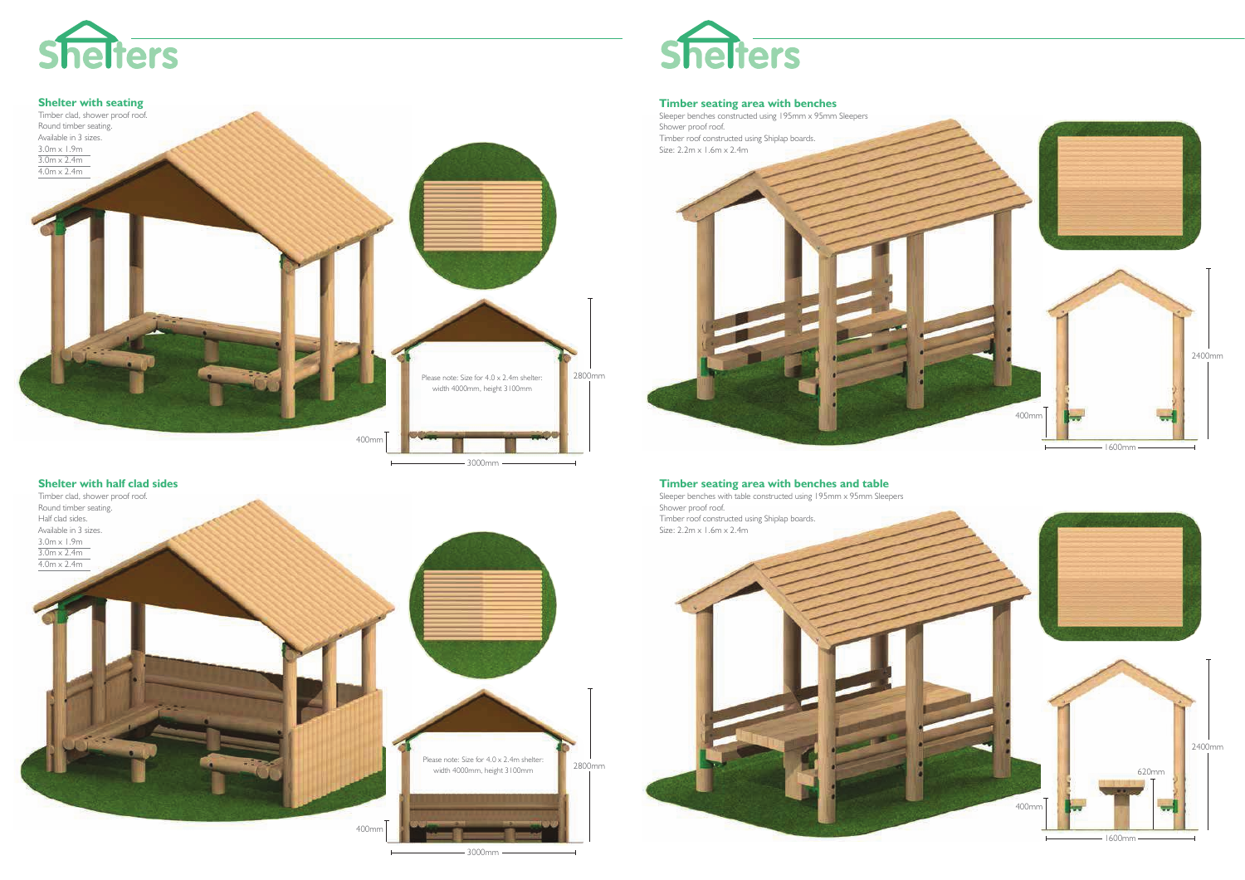



**Shelter with half clad sides**







**Timber seating area with benches and table**

 Sleeper benches with table constructed using 195mm x 95mm SleepersShower proof roof.Timber roof constructed using Shiplap boards.